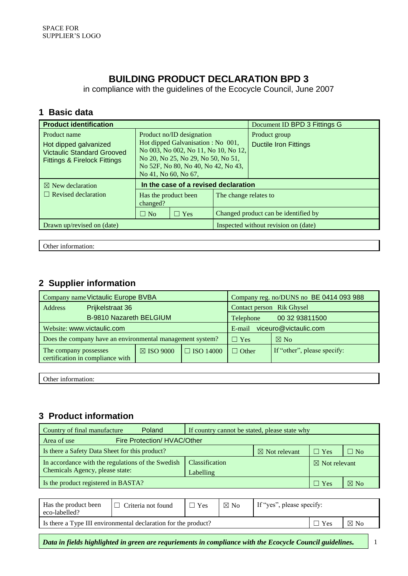## **BUILDING PRODUCT DECLARATION BPD 3**

in compliance with the guidelines of the Ecocycle Council, June 2007

#### **1 Basic data**

| <b>Product identification</b>                                                                                         |                                                                                                                                                                                                              |                                      |                                      | Document ID BPD 3 Fittings G                  |  |  |
|-----------------------------------------------------------------------------------------------------------------------|--------------------------------------------------------------------------------------------------------------------------------------------------------------------------------------------------------------|--------------------------------------|--------------------------------------|-----------------------------------------------|--|--|
| Product name<br>Hot dipped galvanized<br><b>Victaulic Standard Grooved</b><br><b>Fittings &amp; Firelock Fittings</b> | Product no/ID designation<br>Hot dipped Galvanisation : No 001,<br>No 003, No 002, No 11, No 10, No 12,<br>No 20, No 25, No 29, No 50, No 51,<br>No 52F, No 80, No 40, No 42, No 43,<br>No 41, No 60, No 67, |                                      |                                      | Product group<br><b>Ductile Iron Fittings</b> |  |  |
| $\boxtimes$ New declaration                                                                                           |                                                                                                                                                                                                              | In the case of a revised declaration |                                      |                                               |  |  |
| $\Box$ Revised declaration                                                                                            | Has the product been<br>The change relates to<br>changed?                                                                                                                                                    |                                      |                                      |                                               |  |  |
|                                                                                                                       | $\Box$ No                                                                                                                                                                                                    | $\Box$ Yes                           |                                      | Changed product can be identified by          |  |  |
| Drawn up/revised on (date)                                                                                            |                                                                                                                                                                                                              |                                      | Inspected without revision on (date) |                                               |  |  |

Other information:

#### **2 Supplier information**

| Company name Victaulic Europe BVBA                        |                                                           | Company reg. no/DUNS no BE 0414 093 988 |                             |  |  |
|-----------------------------------------------------------|-----------------------------------------------------------|-----------------------------------------|-----------------------------|--|--|
| Address                                                   | Prijkelstraat 36                                          |                                         | Contact person Rik Ghysel   |  |  |
|                                                           | <b>B-9810 Nazareth BELGIUM</b>                            | 00 32 93811500<br>Telephone             |                             |  |  |
| Website: www.victaulic.com                                |                                                           | viceuro@victaulic.com<br>E-mail         |                             |  |  |
|                                                           | Does the company have an environmental management system? | $\Box$ Yes                              | $\boxtimes$ No              |  |  |
| The company possesses<br>certification in compliance with | $\boxtimes$ ISO 9000                                      | $\Box$ Other                            | If "other", please specify: |  |  |

Other information:

## **3 Product information**

| <b>Poland</b><br>Country of final manufacture<br>If country cannot be stated, please state why           |                |  |                          |  |  |  |  |
|----------------------------------------------------------------------------------------------------------|----------------|--|--------------------------|--|--|--|--|
| Fire Protection/ HVAC/Other<br>Area of use                                                               |                |  |                          |  |  |  |  |
| Is there a Safety Data Sheet for this product?<br>$\boxtimes$ Not relevant<br>$\Box$ Yes<br>$\square$ No |                |  |                          |  |  |  |  |
| In accordance with the regulations of the Swedish                                                        | Classification |  | $\boxtimes$ Not relevant |  |  |  |  |
| Chemicals Agency, please state:<br>Labelling                                                             |                |  |                          |  |  |  |  |
| Is the product registered in BASTA?<br>$\boxtimes$ No<br>$\sqsupset$ Yes                                 |                |  |                          |  |  |  |  |

| Has the product been<br>eco-labelled? | $\Box$ Criteria not found                                      | 'Yes | $\boxtimes$ No | If "yes", please specify: |  |                |
|---------------------------------------|----------------------------------------------------------------|------|----------------|---------------------------|--|----------------|
|                                       | Is there a Type III environmental declaration for the product? |      |                | 'Yes                      |  | $\boxtimes$ No |
|                                       |                                                                |      |                |                           |  |                |

*Data in fields highlighted in green are requriements in compliance with the Ecocycle Council guidelines.* 1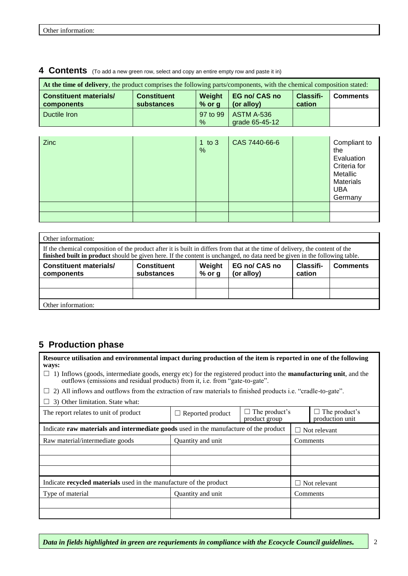| At the time of delivery, the product comprises the following parts/components, with the chemical composition stated: |                                  |                    |                                     |                            |                 |  |  |  |
|----------------------------------------------------------------------------------------------------------------------|----------------------------------|--------------------|-------------------------------------|----------------------------|-----------------|--|--|--|
| <b>Constituent materials/</b><br>components                                                                          | <b>Constituent</b><br>substances | Weight<br>$%$ or g | EG no/ CAS no<br>(or alloy)         | <b>Classifi-</b><br>cation | <b>Comments</b> |  |  |  |
| Ductile Iron                                                                                                         |                                  | 97 to 99<br>$\%$   | <b>ASTM A-536</b><br>grade 65-45-12 |                            |                 |  |  |  |

#### **4 Contents** (To add a new green row, select and copy an entire empty row and paste it in)

| <b>Zinc</b> | 1 to $3$<br>% | CAS 7440-66-6 | Compliant to<br>the<br>Evaluation<br>Criteria for<br>Metallic<br><b>Materials</b><br><b>UBA</b><br>Germany |
|-------------|---------------|---------------|------------------------------------------------------------------------------------------------------------|
|             |               |               |                                                                                                            |
|             |               |               |                                                                                                            |

| Other information:                                                                                                                                                                                                                                          |  |  |  |  |  |  |  |  |
|-------------------------------------------------------------------------------------------------------------------------------------------------------------------------------------------------------------------------------------------------------------|--|--|--|--|--|--|--|--|
| If the chemical composition of the product after it is built in differs from that at the time of delivery, the content of the<br>finished built in product should be given here. If the content is unchanged, no data need be given in the following table. |  |  |  |  |  |  |  |  |
| EG no/ CAS no<br><b>Constituent materials/</b><br>Weight<br><b>Constituent</b><br>Classifi-<br><b>Comments</b><br>(or alloy)<br>substances<br>$%$ or g<br>cation<br>components                                                                              |  |  |  |  |  |  |  |  |
|                                                                                                                                                                                                                                                             |  |  |  |  |  |  |  |  |
|                                                                                                                                                                                                                                                             |  |  |  |  |  |  |  |  |
| Other information:                                                                                                                                                                                                                                          |  |  |  |  |  |  |  |  |

## **5 Production phase**

**Resource utilisation and environmental impact during production of the item is reported in one of the following ways:**

 $\Box$  1) Inflows (goods, intermediate goods, energy etc) for the registered product into the **manufacturing unit**, and the outflows (emissions and residual products) from it, i.e. from "gate-to-gate".

|  |  |  |  |  |  |  |  |  |  | $\Box$ 2) All inflows and outflows from the extraction of raw materials to finished products i.e. "cradle-to-gate". |
|--|--|--|--|--|--|--|--|--|--|---------------------------------------------------------------------------------------------------------------------|
|--|--|--|--|--|--|--|--|--|--|---------------------------------------------------------------------------------------------------------------------|

 $\Box$  3) Other limitation. State what: The report relates to unit of product  $\Box$  Reported product  $\Box$  The product's product group  $\Box$  The product's production unit Indicate **raw materials and intermediate goods** used in the manufacture of the product  $\Box$  Not relevant Raw material/intermediate goods Quantity and unit Comments Indicate **recycled materials** used in the manufacture of the product  $\Box$  Not relevant Type of material Quantity and unit Comments

*Data in fields highlighted in green are requriements in compliance with the Ecocycle Council guidelines.* 2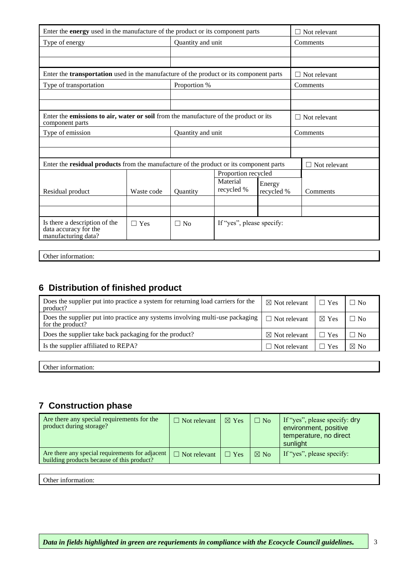| Enter the <b>energy</b> used in the manufacture of the product or its component parts                   |            | $\Box$ Not relevant |                           |                      |          |                     |
|---------------------------------------------------------------------------------------------------------|------------|---------------------|---------------------------|----------------------|----------|---------------------|
| Type of energy                                                                                          |            | Quantity and unit   |                           |                      |          | Comments            |
|                                                                                                         |            |                     |                           |                      |          |                     |
|                                                                                                         |            |                     |                           |                      |          |                     |
| Enter the transportation used in the manufacture of the product or its component parts                  |            |                     |                           |                      |          | $\Box$ Not relevant |
| Type of transportation                                                                                  |            | Proportion %        |                           |                      |          | Comments            |
|                                                                                                         |            |                     |                           |                      |          |                     |
|                                                                                                         |            |                     |                           |                      |          |                     |
| Enter the emissions to air, water or soil from the manufacture of the product or its<br>component parts |            |                     |                           |                      |          | $\Box$ Not relevant |
| Type of emission                                                                                        |            | Quantity and unit   |                           |                      | Comments |                     |
|                                                                                                         |            |                     |                           |                      |          |                     |
|                                                                                                         |            |                     |                           |                      |          |                     |
| Enter the residual products from the manufacture of the product or its component parts                  |            |                     |                           |                      |          | $\Box$ Not relevant |
|                                                                                                         |            |                     | Proportion recycled       |                      |          |                     |
| Residual product                                                                                        | Waste code | Quantity            | Material<br>recycled %    | Energy<br>recycled % |          | Comments            |
|                                                                                                         |            |                     |                           |                      |          |                     |
|                                                                                                         |            |                     |                           |                      |          |                     |
| Is there a description of the<br>data accuracy for the<br>manufacturing data?                           | $\Box$ Yes | $\Box$ No           | If "yes", please specify: |                      |          |                     |

Other information:

## **6 Distribution of finished product**

| Does the supplier put into practice a system for returning load carriers for the<br>product?      | $\boxtimes$ Not relevant | $\Box$ Yes      | $\square$ No   |
|---------------------------------------------------------------------------------------------------|--------------------------|-----------------|----------------|
| Does the supplier put into practice any systems involving multi-use packaging<br>for the product? | $\Box$ Not relevant      | $\boxtimes$ Yes | $\Box$ No      |
| Does the supplier take back packaging for the product?                                            | $\boxtimes$ Not relevant | $\Box$ Yes      | $\Box$ No      |
| Is the supplier affiliated to REPA?                                                               | $\Box$ Not relevant      | Yes             | $\boxtimes$ No |
|                                                                                                   |                          |                 |                |

Other information:

### **7 Construction phase**

| Are there any special requirements for the<br>product during storage?                           | $\Box$ Not relevant | $\boxtimes$ Yes | $\Box$ No      | If "yes", please specify: dry<br>environment, positive<br>temperature, no direct<br>sunlight |
|-------------------------------------------------------------------------------------------------|---------------------|-----------------|----------------|----------------------------------------------------------------------------------------------|
| Are there any special requirements for adjacent  <br>building products because of this product? | $\Box$ Not relevant | $\Box$ Yes      | $\boxtimes$ No | If "yes", please specify:                                                                    |

Other information: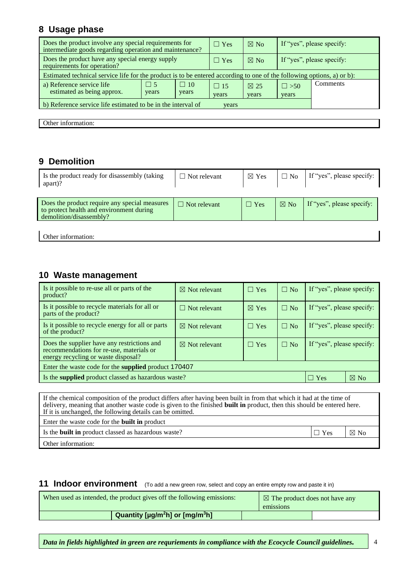#### **8 Usage phase**

| Does the product involve any special requirements for<br>intermediate goods regarding operation and maintenance?       | $\Box$ Yes | $\boxtimes$ No |            | If "yes", please specify: |            |                           |  |
|------------------------------------------------------------------------------------------------------------------------|------------|----------------|------------|---------------------------|------------|---------------------------|--|
| Does the product have any special energy supply<br>requirements for operation?                                         |            |                | $\Box$ Yes | $\boxtimes$ No            |            | If "yes", please specify: |  |
| Estimated technical service life for the product is to be entered according to one of the following options, a) or b): |            |                |            |                           |            |                           |  |
| a) Reference service life                                                                                              | $\Box$ 5   | $\Box$ 10      | $\Box$ 15  | $\boxtimes$ 25            | $\Box$ >50 | Comments                  |  |
| estimated as being approx.                                                                                             | years      | years          | years      | years                     |            |                           |  |
| b) Reference service life estimated to be in the interval of<br>years                                                  |            |                |            |                           |            |                           |  |

Other information:

## **9 Demolition**

| Is the product ready for disassembly (taking<br>apart)?                                                              | $\Box$ Not relevant | $\boxtimes$ Yes | $\Box$ No      | If "yes", please specify: |
|----------------------------------------------------------------------------------------------------------------------|---------------------|-----------------|----------------|---------------------------|
| Does the product require any special measures<br>to protect health and environment during<br>demolition/disassembly? | $\Box$ Not relevant | $\Box$ Yes      | $\boxtimes$ No | If "yes", please specify: |
| Other information:                                                                                                   |                     |                 |                |                           |

#### **10 Waste management**

| Is it possible to re-use all or parts of the<br>product?                                                                       | $\boxtimes$ Not relevant | $\Box$ Yes      | $\Box$ No | If "yes", please specify: |                |  |
|--------------------------------------------------------------------------------------------------------------------------------|--------------------------|-----------------|-----------|---------------------------|----------------|--|
| Is it possible to recycle materials for all or<br>parts of the product?                                                        | $\Box$ Not relevant      | $\boxtimes$ Yes | $\Box$ No | If "yes", please specify: |                |  |
| Is it possible to recycle energy for all or parts<br>of the product?                                                           | $\boxtimes$ Not relevant | $\Box$ Yes      | $\Box$ No | If "yes", please specify: |                |  |
| Does the supplier have any restrictions and<br>recommendations for re-use, materials or<br>energy recycling or waste disposal? | $\boxtimes$ Not relevant | $\Box$ Yes      | $\Box$ No | If "yes", please specify: |                |  |
| Enter the waste code for the <b>supplied</b> product 170407                                                                    |                          |                 |           |                           |                |  |
| Is the supplied product classed as hazardous waste?                                                                            |                          |                 |           | $\Box$ Yes                | $\boxtimes$ No |  |

| If the chemical composition of the product differs after having been built in from that which it had at the time of<br>delivery, meaning that another waste code is given to the finished <b>built in</b> product, then this should be entered here.<br>If it is unchanged, the following details can be omitted. |            |                |  |  |  |
|-------------------------------------------------------------------------------------------------------------------------------------------------------------------------------------------------------------------------------------------------------------------------------------------------------------------|------------|----------------|--|--|--|
| Enter the waste code for the <b>built in</b> product                                                                                                                                                                                                                                                              |            |                |  |  |  |
| Is the <b>built in</b> product classed as hazardous waste?                                                                                                                                                                                                                                                        | $\Box$ Yes | $\boxtimes$ No |  |  |  |
| Other information:                                                                                                                                                                                                                                                                                                |            |                |  |  |  |

#### **11 Indoor environment** (To add a new green row, select and copy an entire empty row and paste it in)

| When used as intended, the product gives off the following emissions: |  | $\boxtimes$ The product does not have any<br>emissions |  |  |
|-----------------------------------------------------------------------|--|--------------------------------------------------------|--|--|
| Quantity [µg/m <sup>2</sup> h] or [mg/m <sup>3</sup> h]               |  |                                                        |  |  |

*Data in fields highlighted in green are requriements in compliance with the Ecocycle Council guidelines.* 4